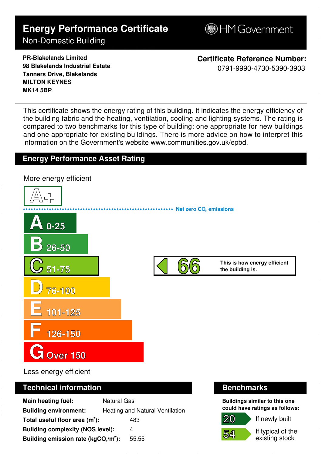# **Energy Performance Certificate**

HM Government

## Non-Domestic Building

**PR-Blakelands Limited 98 Blakelands Industrial Estate Tanners Drive, Blakelands MILTON KEYNES MK14 5BP**

**Certificate Reference Number:** 0791-9990-4730-5390-3903

This certificate shows the energy rating of this building. It indicates the energy efficiency of the building fabric and the heating, ventilation, cooling and lighting systems. The rating is compared to two benchmarks for this type of building: one appropriate for new buildings and one appropriate for existing buildings. There is more advice on how to interpret this information on the Government's websit[e www.communities.gov.uk/epbd.](http://www.communities.gov.uk/epbd)

### **Energy Performance Asset Rating**



Less energy efficient

#### **Technical information Community Community Community Benchmarks**

| Main heating fuel:                                           | <b>Natural Gas</b>              |
|--------------------------------------------------------------|---------------------------------|
| <b>Building environment:</b>                                 | Heating and Natural Ventilation |
| Total useful floor area $(m2)$ :                             | 483                             |
| <b>Building complexity (NOS level):</b>                      | 4                               |
| Building emission rate (kgCO <sub>2</sub> /m <sup>2</sup> ): | 55.55                           |

**Buildings similar to this one could have ratings as follows:**

**54**

**20**

If typical of the existing stock

If newly built